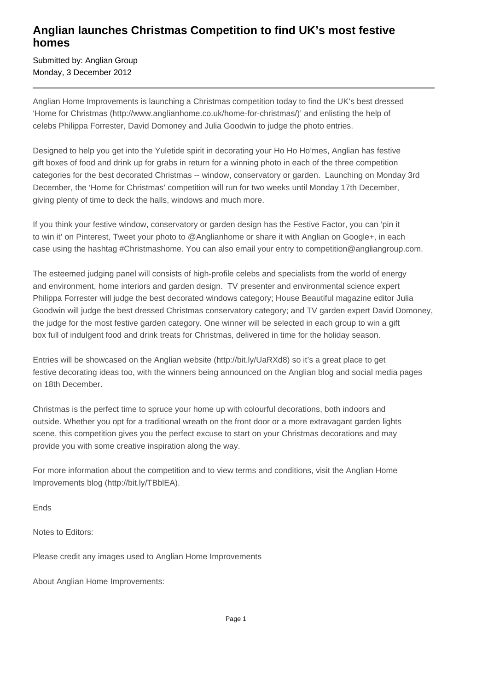## **Anglian launches Christmas Competition to find UK's most festive homes**

Submitted by: Anglian Group Monday, 3 December 2012

Anglian Home Improvements is launching a Christmas competition today to find the UK's best dressed 'Home for Christmas (http://www.anglianhome.co.uk/home-for-christmas/)' and enlisting the help of celebs Philippa Forrester, David Domoney and Julia Goodwin to judge the photo entries.

Designed to help you get into the Yuletide spirit in decorating your Ho Ho Ho'mes, Anglian has festive gift boxes of food and drink up for grabs in return for a winning photo in each of the three competition categories for the best decorated Christmas -- window, conservatory or garden. Launching on Monday 3rd December, the 'Home for Christmas' competition will run for two weeks until Monday 17th December, giving plenty of time to deck the halls, windows and much more.

If you think your festive window, conservatory or garden design has the Festive Factor, you can 'pin it to win it' on Pinterest, Tweet your photo to @Anglianhome or share it with Anglian on Google+, in each case using the hashtag #Christmashome. You can also email your entry to competition@angliangroup.com.

The esteemed judging panel will consists of high-profile celebs and specialists from the world of energy and environment, home interiors and garden design. TV presenter and environmental science expert Philippa Forrester will judge the best decorated windows category; House Beautiful magazine editor Julia Goodwin will judge the best dressed Christmas conservatory category; and TV garden expert David Domoney, the judge for the most festive garden category. One winner will be selected in each group to win a gift box full of indulgent food and drink treats for Christmas, delivered in time for the holiday season.

Entries will be showcased on the Anglian website (http://bit.ly/UaRXd8) so it's a great place to get festive decorating ideas too, with the winners being announced on the Anglian blog and social media pages on 18th December.

Christmas is the perfect time to spruce your home up with colourful decorations, both indoors and outside. Whether you opt for a traditional wreath on the front door or a more extravagant garden lights scene, this competition gives you the perfect excuse to start on your Christmas decorations and may provide you with some creative inspiration along the way.

For more information about the competition and to view terms and conditions, visit the Anglian Home Improvements blog (http://bit.ly/TBblEA).

Ends

Notes to Editors:

Please credit any images used to Anglian Home Improvements

About Anglian Home Improvements: